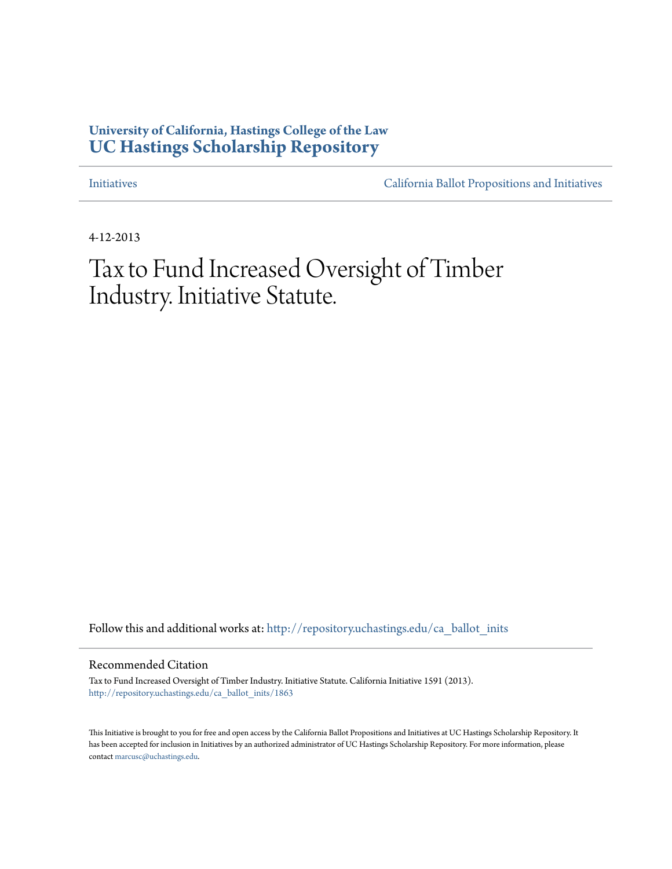## **University of California, Hastings College of the Law [UC Hastings Scholarship Repository](http://repository.uchastings.edu?utm_source=repository.uchastings.edu%2Fca_ballot_inits%2F1863&utm_medium=PDF&utm_campaign=PDFCoverPages)**

[Initiatives](http://repository.uchastings.edu/ca_ballot_inits?utm_source=repository.uchastings.edu%2Fca_ballot_inits%2F1863&utm_medium=PDF&utm_campaign=PDFCoverPages) [California Ballot Propositions and Initiatives](http://repository.uchastings.edu/ca_ballots?utm_source=repository.uchastings.edu%2Fca_ballot_inits%2F1863&utm_medium=PDF&utm_campaign=PDFCoverPages)

4-12-2013

## Tax to Fund Increased Oversight of Timber Industry. Initiative Statute.

Follow this and additional works at: [http://repository.uchastings.edu/ca\\_ballot\\_inits](http://repository.uchastings.edu/ca_ballot_inits?utm_source=repository.uchastings.edu%2Fca_ballot_inits%2F1863&utm_medium=PDF&utm_campaign=PDFCoverPages)

Recommended Citation

Tax to Fund Increased Oversight of Timber Industry. Initiative Statute. California Initiative 1591 (2013). [http://repository.uchastings.edu/ca\\_ballot\\_inits/1863](http://repository.uchastings.edu/ca_ballot_inits/1863?utm_source=repository.uchastings.edu%2Fca_ballot_inits%2F1863&utm_medium=PDF&utm_campaign=PDFCoverPages)

This Initiative is brought to you for free and open access by the California Ballot Propositions and Initiatives at UC Hastings Scholarship Repository. It has been accepted for inclusion in Initiatives by an authorized administrator of UC Hastings Scholarship Repository. For more information, please contact [marcusc@uchastings.edu](mailto:marcusc@uchastings.edu).